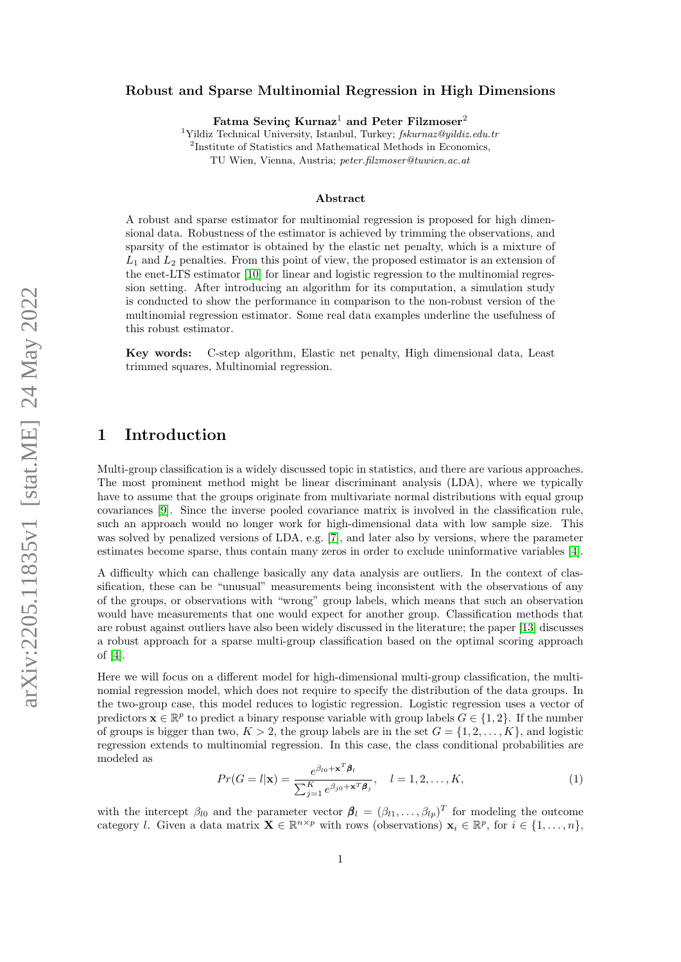#### Robust and Sparse Multinomial Regression in High Dimensions

Fatma Sevinc Kurnaz<sup>1</sup> and Peter Filzmoser<sup>2</sup>

<sup>1</sup>Yildiz Technical University, Istanbul, Turkey;  $fskurnaz@yildiz.edu.tr$ <sup>2</sup>Institute of Statistics and Mathematical Methods in Economics, TU Wien, Vienna, Austria; peter.filzmoser@tuwien.ac.at

#### Abstract

A robust and sparse estimator for multinomial regression is proposed for high dimensional data. Robustness of the estimator is achieved by trimming the observations, and sparsity of the estimator is obtained by the elastic net penalty, which is a mixture of  $L_1$  and  $L_2$  penalties. From this point of view, the proposed estimator is an extension of the enet-LTS estimator [\[10\]](#page-15-0) for linear and logistic regression to the multinomial regression setting. After introducing an algorithm for its computation, a simulation study is conducted to show the performance in comparison to the non-robust version of the multinomial regression estimator. Some real data examples underline the usefulness of this robust estimator.

Key words: C-step algorithm, Elastic net penalty, High dimensional data, Least trimmed squares, Multinomial regression.

### 1 Introduction

Multi-group classification is a widely discussed topic in statistics, and there are various approaches. The most prominent method might be linear discriminant analysis (LDA), where we typically have to assume that the groups originate from multivariate normal distributions with equal group covariances [\[9\]](#page-15-1). Since the inverse pooled covariance matrix is involved in the classification rule, such an approach would no longer work for high-dimensional data with low sample size. This was solved by penalized versions of LDA, e.g. [\[7\]](#page-14-0), and later also by versions, where the parameter estimates become sparse, thus contain many zeros in order to exclude uninformative variables [\[4\]](#page-14-1).

A difficulty which can challenge basically any data analysis are outliers. In the context of classification, these can be "unusual" measurements being inconsistent with the observations of any of the groups, or observations with "wrong" group labels, which means that such an observation would have measurements that one would expect for another group. Classification methods that are robust against outliers have also been widely discussed in the literature; the paper [\[13\]](#page-15-2) discusses a robust approach for a sparse multi-group classification based on the optimal scoring approach of [\[4\]](#page-14-1).

Here we will focus on a different model for high-dimensional multi-group classification, the multinomial regression model, which does not require to specify the distribution of the data groups. In the two-group case, this model reduces to logistic regression. Logistic regression uses a vector of predictors  $\mathbf{x} \in \mathbb{R}^p$  to predict a binary response variable with group labels  $G \in \{1,2\}$ . If the number of groups is bigger than two,  $K > 2$ , the group labels are in the set  $G = \{1, 2, \ldots, K\}$ , and logistic regression extends to multinomial regression. In this case, the class conditional probabilities are modeled as

<span id="page-0-0"></span>
$$
Pr(G = l | \mathbf{x}) = \frac{e^{\beta_{l0} + \mathbf{x}^T \boldsymbol{\beta}_l}}{\sum_{j=1}^K e^{\beta_{j0} + \mathbf{x}^T \boldsymbol{\beta}_j}}, \quad l = 1, 2, \dots, K,
$$
\n(1)

with the intercept  $\beta_{l0}$  and the parameter vector  $\beta_l = (\beta_{l1}, \ldots, \beta_{lp})^T$  for modeling the outcome category l. Given a data matrix  $\mathbf{X} \in \mathbb{R}^{n \times p}$  with rows (observations)  $\mathbf{x}_i \in \mathbb{R}^p$ , for  $i \in \{1, \ldots, n\}$ ,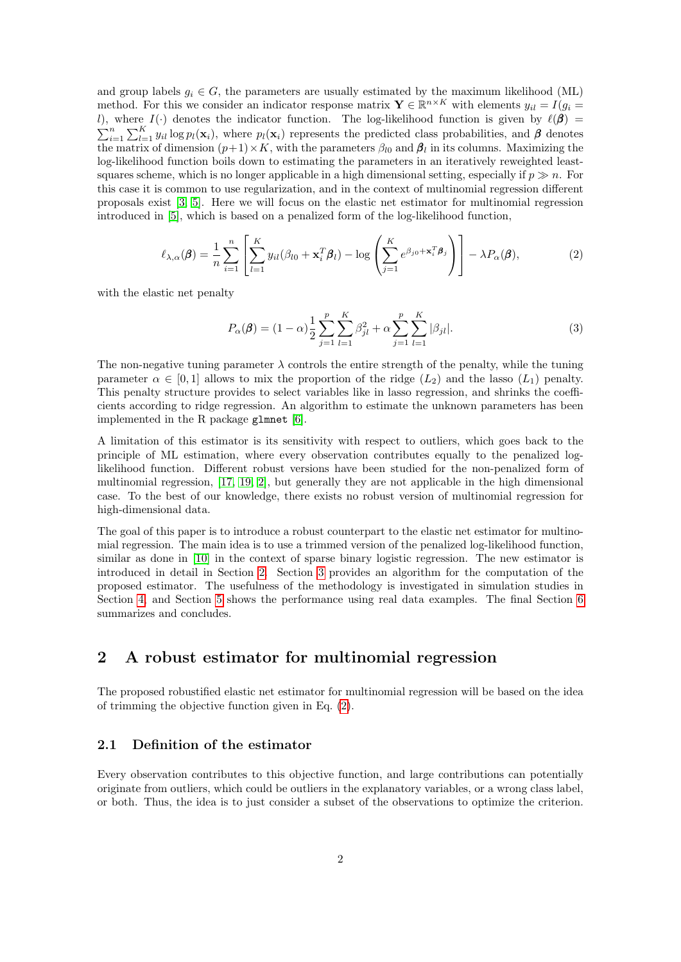and group labels  $g_i \in G$ , the parameters are usually estimated by the maximum likelihood (ML) method. For this we consider an indicator response matrix  $\mathbf{Y} \in \mathbb{R}^{n \times K}$  with elements  $y_{il} = I(g_i =$ l), where  $I(\cdot)$  denotes the indicator function. The log-likelihood function is given by  $\ell(\beta) =$  $\sum_{i=1}^n \sum_{l=1}^K y_{il} \log p_l(\mathbf{x}_i)$ , where  $p_l(\mathbf{x}_i)$  represents the predicted class probabilities, and  $\boldsymbol{\beta}$  denotes the matrix of dimension  $(p+1) \times K$ , with the parameters  $\beta_{l0}$  and  $\beta_l$  in its columns. Maximizing the log-likelihood function boils down to estimating the parameters in an iteratively reweighted leastsquares scheme, which is no longer applicable in a high dimensional setting, especially if  $p \gg n$ . For this case it is common to use regularization, and in the context of multinomial regression different proposals exist [\[3,](#page-14-2) [5\]](#page-14-3). Here we will focus on the elastic net estimator for multinomial regression introduced in [\[5\]](#page-14-3), which is based on a penalized form of the log-likelihood function,

<span id="page-1-1"></span>
$$
\ell_{\lambda,\alpha}(\boldsymbol{\beta}) = \frac{1}{n} \sum_{i=1}^{n} \left[ \sum_{l=1}^{K} y_{il} (\beta_{l0} + \mathbf{x}_i^T \boldsymbol{\beta}_l) - \log \left( \sum_{j=1}^{K} e^{\beta_{j0} + \mathbf{x}_i^T \boldsymbol{\beta}_j} \right) \right] - \lambda P_{\alpha}(\boldsymbol{\beta}), \tag{2}
$$

with the elastic net penalty

<span id="page-1-2"></span>
$$
P_{\alpha}(\beta) = (1 - \alpha) \frac{1}{2} \sum_{j=1}^{p} \sum_{l=1}^{K} \beta_{jl}^{2} + \alpha \sum_{j=1}^{p} \sum_{l=1}^{K} |\beta_{jl}|.
$$
 (3)

The non-negative tuning parameter  $\lambda$  controls the entire strength of the penalty, while the tuning parameter  $\alpha \in [0,1]$  allows to mix the proportion of the ridge  $(L_2)$  and the lasso  $(L_1)$  penalty. This penalty structure provides to select variables like in lasso regression, and shrinks the coefficients according to ridge regression. An algorithm to estimate the unknown parameters has been implemented in the R package glmnet [\[6\]](#page-14-4).

A limitation of this estimator is its sensitivity with respect to outliers, which goes back to the principle of ML estimation, where every observation contributes equally to the penalized loglikelihood function. Different robust versions have been studied for the non-penalized form of multinomial regression, [\[17,](#page-15-3) [19,](#page-15-4) [2\]](#page-14-5), but generally they are not applicable in the high dimensional case. To the best of our knowledge, there exists no robust version of multinomial regression for high-dimensional data.

The goal of this paper is to introduce a robust counterpart to the elastic net estimator for multinomial regression. The main idea is to use a trimmed version of the penalized log-likelihood function, similar as done in [\[10\]](#page-15-0) in the context of sparse binary logistic regression. The new estimator is introduced in detail in Section [2.](#page-1-0) Section [3](#page-4-0) provides an algorithm for the computation of the proposed estimator. The usefulness of the methodology is investigated in simulation studies in Section [4,](#page-5-0) and Section [5](#page-10-0) shows the performance using real data examples. The final Section [6](#page-13-0) summarizes and concludes.

### <span id="page-1-0"></span>2 A robust estimator for multinomial regression

The proposed robustified elastic net estimator for multinomial regression will be based on the idea of trimming the objective function given in Eq. [\(2\)](#page-1-1).

### 2.1 Definition of the estimator

Every observation contributes to this objective function, and large contributions can potentially originate from outliers, which could be outliers in the explanatory variables, or a wrong class label, or both. Thus, the idea is to just consider a subset of the observations to optimize the criterion.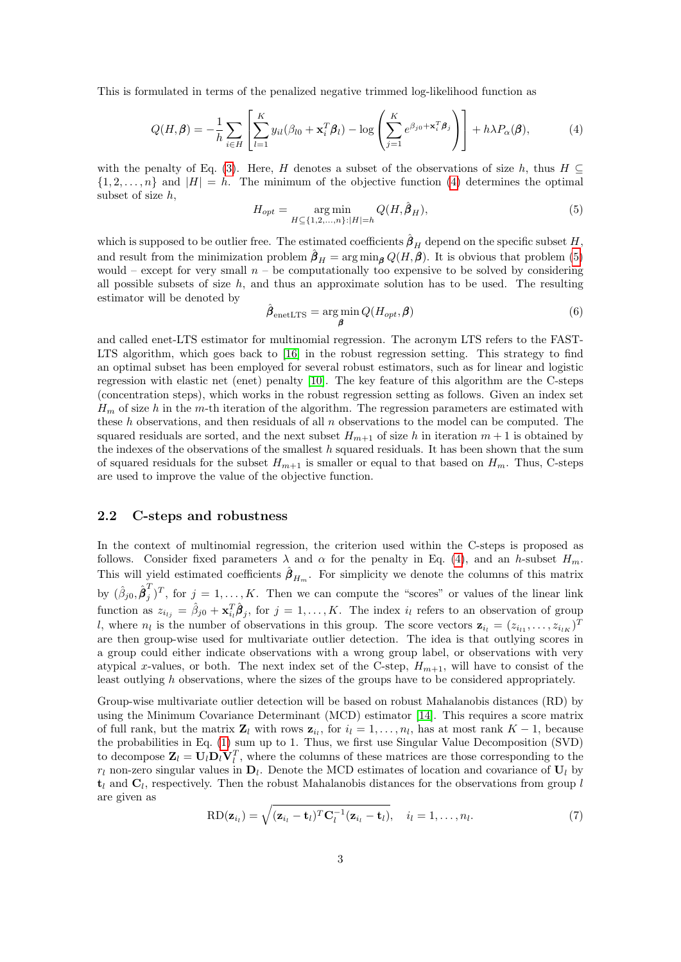This is formulated in terms of the penalized negative trimmed log-likelihood function as

<span id="page-2-0"></span>
$$
Q(H,\beta) = -\frac{1}{h} \sum_{i \in H} \left[ \sum_{l=1}^{K} y_{il} (\beta_{l0} + \mathbf{x}_i^T \boldsymbol{\beta}_l) - \log \left( \sum_{j=1}^{K} e^{\beta_{j0} + \mathbf{x}_i^T \boldsymbol{\beta}_j} \right) \right] + h \lambda P_{\alpha}(\boldsymbol{\beta}), \tag{4}
$$

with the penalty of Eq. [\(3\)](#page-1-2). Here, H denotes a subset of the observations of size h, thus  $H \subseteq$  $\{1, 2, \ldots, n\}$  and  $|H| = h$ . The minimum of the objective function [\(4\)](#page-2-0) determines the optimal subset of size h,

<span id="page-2-1"></span>
$$
H_{opt} = \underset{H \subseteq \{1, 2, ..., n\} : |H| = h}{\arg \min} Q(H, \hat{\beta}_H),
$$
\n(5)

which is supposed to be outlier free. The estimated coefficients  $\hat{\beta}_H$  depend on the specific subset H, and result from the minimization problem  $\hat{\beta}_H = \arg \min_{\mathbf{\beta}} Q(H, \mathbf{\beta})$ . It is obvious that problem [\(5\)](#page-2-1) would – except for very small  $n -$  be computationally too expensive to be solved by considering all possible subsets of size  $h$ , and thus an approximate solution has to be used. The resulting estimator will be denoted by

$$
\hat{\boldsymbol{\beta}}_{\text{enetLTS}} = \underset{\boldsymbol{\beta}}{\text{arg min}} \, Q(H_{opt}, \boldsymbol{\beta}) \tag{6}
$$

and called enet-LTS estimator for multinomial regression. The acronym LTS refers to the FAST-LTS algorithm, which goes back to [\[16\]](#page-15-5) in the robust regression setting. This strategy to find an optimal subset has been employed for several robust estimators, such as for linear and logistic regression with elastic net (enet) penalty [\[10\]](#page-15-0). The key feature of this algorithm are the C-steps (concentration steps), which works in the robust regression setting as follows. Given an index set  $H_m$  of size h in the m-th iteration of the algorithm. The regression parameters are estimated with these h observations, and then residuals of all  $n$  observations to the model can be computed. The squared residuals are sorted, and the next subset  $H_{m+1}$  of size h in iteration  $m+1$  is obtained by the indexes of the observations of the smallest  $h$  squared residuals. It has been shown that the sum of squared residuals for the subset  $H_{m+1}$  is smaller or equal to that based on  $H_m$ . Thus, C-steps are used to improve the value of the objective function.

#### <span id="page-2-2"></span>2.2 C-steps and robustness

In the context of multinomial regression, the criterion used within the C-steps is proposed as follows. Consider fixed parameters  $\lambda$  and  $\alpha$  for the penalty in Eq. [\(4\)](#page-2-0), and an h-subset  $H_m$ . This will yield estimated coefficients  $\hat{\beta}_{H_m}$ . For simplicity we denote the columns of this matrix by  $(\hat{\beta}_{j0}, \hat{\boldsymbol{\beta}}_{j}^{T})$  $j^{\prime}$  for  $j = 1, ..., K$ . Then we can compute the "scores" or values of the linear link function as  $z_{i_{lj}} = \hat{\beta}_{j0} + \mathbf{x}_{i_l}^T \hat{\boldsymbol{\beta}}_j$ , for  $j = 1, ..., K$ . The index  $i_l$  refers to an observation of group l, where  $n_l$  is the number of observations in this group. The score vectors  $\mathbf{z}_{i_l} = (z_{i_{l1}}, \ldots, z_{i_{lK}})^T$ are then group-wise used for multivariate outlier detection. The idea is that outlying scores in a group could either indicate observations with a wrong group label, or observations with very atypical x-values, or both. The next index set of the C-step,  $H_{m+1}$ , will have to consist of the least outlying h observations, where the sizes of the groups have to be considered appropriately.

Group-wise multivariate outlier detection will be based on robust Mahalanobis distances (RD) by using the Minimum Covariance Determinant (MCD) estimator [\[14\]](#page-15-6). This requires a score matrix of full rank, but the matrix  $\mathbf{Z}_l$  with rows  $\mathbf{z}_{i_l}$ , for  $i_l = 1, \ldots, n_l$ , has at most rank  $K - 1$ , because the probabilities in Eq. [\(1\)](#page-0-0) sum up to 1. Thus, we first use Singular Value Decomposition (SVD) to decompose  $\mathbf{Z}_l = \mathbf{U}_l \mathbf{D}_l \mathbf{V}_l^T$ , where the columns of these matrices are those corresponding to the  $r_l$  non-zero singular values in  $\mathbf{D}_l$ . Denote the MCD estimates of location and covariance of  $\mathbf{U}_l$  by  $\mathbf{t}_l$  and  $\mathbf{C}_l$ , respectively. Then the robust Mahalanobis distances for the observations from group l are given as

$$
RD(\mathbf{z}_{i_l}) = \sqrt{(\mathbf{z}_{i_l} - \mathbf{t}_l)^T \mathbf{C}_l^{-1} (\mathbf{z}_{i_l} - \mathbf{t}_l)}, \quad i_l = 1, \dots, n_l.
$$
\n(7)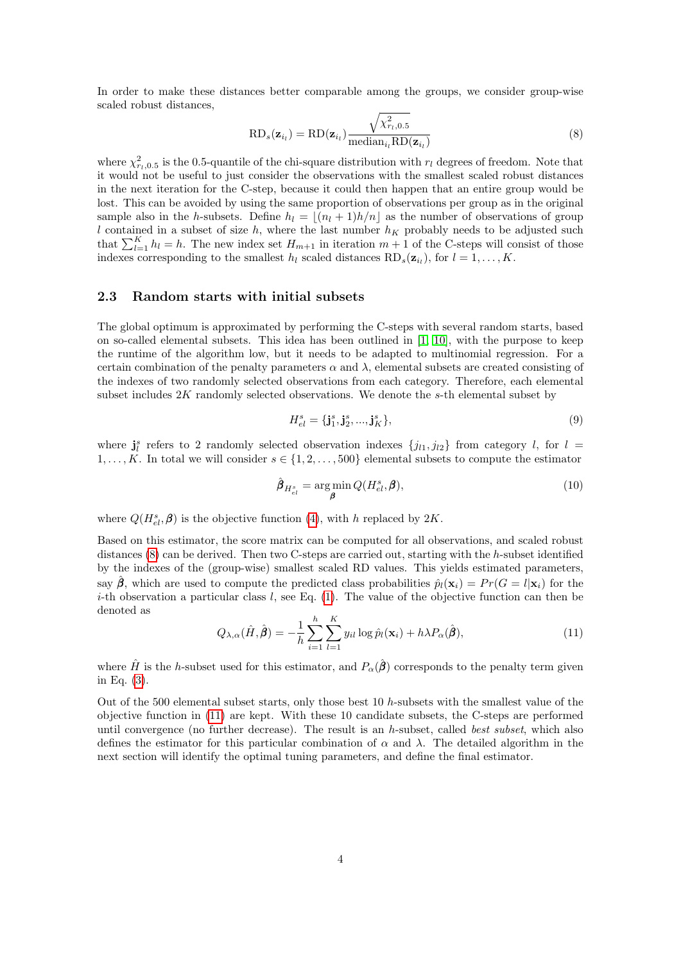In order to make these distances better comparable among the groups, we consider group-wise scaled robust distances,

<span id="page-3-0"></span>
$$
RD_s(\mathbf{z}_{i_l}) = RD(\mathbf{z}_{i_l}) \frac{\sqrt{\chi^2_{r_l,0.5}}}{\text{median}_{i_l} RD(\mathbf{z}_{i_l})}
$$
(8)

where  $\chi^2_{r_l,0.5}$  is the 0.5-quantile of the chi-square distribution with  $r_l$  degrees of freedom. Note that it would not be useful to just consider the observations with the smallest scaled robust distances in the next iteration for the C-step, because it could then happen that an entire group would be lost. This can be avoided by using the same proportion of observations per group as in the original sample also in the h-subsets. Define  $h_l = \lfloor (n_l + 1)h/n \rfloor$  as the number of observations of group l contained in a subset of size h, where the last number  $h<sub>K</sub>$  probably needs to be adjusted such that  $\sum_{l=1}^{K} h_l = h$ . The new index set  $H_{m+1}$  in iteration  $m+1$  of the C-steps will consist of those indexes corresponding to the smallest  $h_l$  scaled distances  $RD_s(\mathbf{z}_{i_l})$ , for  $l = 1, ..., K$ .

#### <span id="page-3-2"></span>2.3 Random starts with initial subsets

The global optimum is approximated by performing the C-steps with several random starts, based on so-called elemental subsets. This idea has been outlined in [\[1,](#page-14-6) [10\]](#page-15-0), with the purpose to keep the runtime of the algorithm low, but it needs to be adapted to multinomial regression. For a certain combination of the penalty parameters  $\alpha$  and  $\lambda$ , elemental subsets are created consisting of the indexes of two randomly selected observations from each category. Therefore, each elemental subset includes 2K randomly selected observations. We denote the s-th elemental subset by

$$
H_{el}^{s} = {\mathbf{j}_{1}^{s}, \mathbf{j}_{2}^{s}, ..., \mathbf{j}_{K}^{s}},
$$
\n(9)

where  $\mathbf{j}_l^s$  refers to 2 randomly selected observation indexes  $\{j_{l1}, j_{l2}\}\$  from category l, for  $l =$  $1, \ldots, K$ . In total we will consider  $s \in \{1, 2, \ldots, 500\}$  elemental subsets to compute the estimator

$$
\hat{\boldsymbol{\beta}}_{H_{el}^s} = \underset{\boldsymbol{\beta}}{\arg\min} Q(H_{el}^s, \boldsymbol{\beta}),\tag{10}
$$

where  $Q(H_{el}^s, \beta)$  is the objective function [\(4\)](#page-2-0), with h replaced by 2K.

Based on this estimator, the score matrix can be computed for all observations, and scaled robust distances  $(8)$  can be derived. Then two C-steps are carried out, starting with the h-subset identified by the indexes of the (group-wise) smallest scaled RD values. This yields estimated parameters, say  $\beta$ , which are used to compute the predicted class probabilities  $\hat{p}_l(\mathbf{x}_i) = Pr(G = l|\mathbf{x}_i)$  for the i-th observation a particular class  $l$ , see Eq. [\(1\)](#page-0-0). The value of the objective function can then be denoted as

<span id="page-3-1"></span>
$$
Q_{\lambda,\alpha}(\hat{H},\hat{\boldsymbol{\beta}}) = -\frac{1}{h} \sum_{i=1}^{h} \sum_{l=1}^{K} y_{il} \log \hat{p}_l(\mathbf{x}_i) + h\lambda P_\alpha(\hat{\boldsymbol{\beta}}),
$$
\n(11)

where  $\hat{H}$  is the h-subset used for this estimator, and  $P_{\alpha}(\hat{\boldsymbol{\beta}})$  corresponds to the penalty term given in Eq. [\(3\)](#page-1-2).

Out of the 500 elemental subset starts, only those best 10 h-subsets with the smallest value of the objective function in [\(11\)](#page-3-1) are kept. With these 10 candidate subsets, the C-steps are performed until convergence (no further decrease). The result is an  $h$ -subset, called *best subset*, which also defines the estimator for this particular combination of  $\alpha$  and  $\lambda$ . The detailed algorithm in the next section will identify the optimal tuning parameters, and define the final estimator.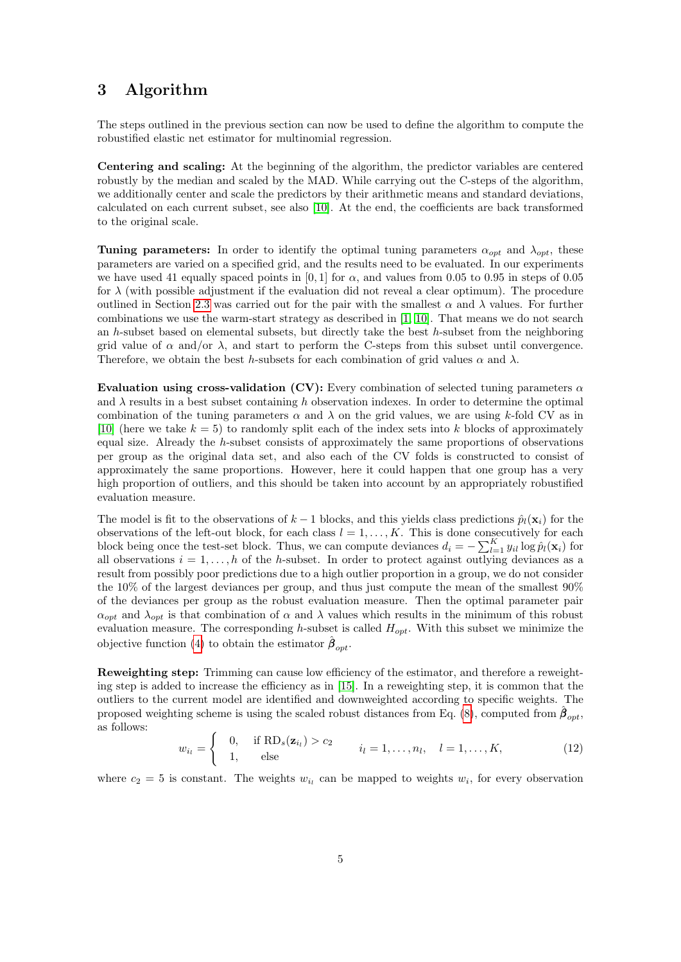# <span id="page-4-0"></span>3 Algorithm

The steps outlined in the previous section can now be used to define the algorithm to compute the robustified elastic net estimator for multinomial regression.

Centering and scaling: At the beginning of the algorithm, the predictor variables are centered robustly by the median and scaled by the MAD. While carrying out the C-steps of the algorithm, we additionally center and scale the predictors by their arithmetic means and standard deviations, calculated on each current subset, see also [\[10\]](#page-15-0). At the end, the coefficients are back transformed to the original scale.

Tuning parameters: In order to identify the optimal tuning parameters  $\alpha_{opt}$  and  $\lambda_{opt}$ , these parameters are varied on a specified grid, and the results need to be evaluated. In our experiments we have used 41 equally spaced points in [0, 1] for  $\alpha$ , and values from 0.05 to 0.95 in steps of 0.05 for  $\lambda$  (with possible adjustment if the evaluation did not reveal a clear optimum). The procedure outlined in Section [2.3](#page-3-2) was carried out for the pair with the smallest  $\alpha$  and  $\lambda$  values. For further combinations we use the warm-start strategy as described in [\[1,](#page-14-6) [10\]](#page-15-0). That means we do not search an h-subset based on elemental subsets, but directly take the best h-subset from the neighboring grid value of  $\alpha$  and/or  $\lambda$ , and start to perform the C-steps from this subset until convergence. Therefore, we obtain the best h-subsets for each combination of grid values  $\alpha$  and  $\lambda$ .

Evaluation using cross-validation (CV): Every combination of selected tuning parameters  $\alpha$ and  $\lambda$  results in a best subset containing h observation indexes. In order to determine the optimal combination of the tuning parameters  $\alpha$  and  $\lambda$  on the grid values, we are using k-fold CV as in [\[10\]](#page-15-0) (here we take  $k = 5$ ) to randomly split each of the index sets into k blocks of approximately equal size. Already the h-subset consists of approximately the same proportions of observations per group as the original data set, and also each of the CV folds is constructed to consist of approximately the same proportions. However, here it could happen that one group has a very high proportion of outliers, and this should be taken into account by an appropriately robustified evaluation measure.

The model is fit to the observations of  $k-1$  blocks, and this yields class predictions  $\hat{p}_i(\mathbf{x}_i)$  for the observations of the left-out block, for each class  $l = 1, ..., K$ . This is done consecutively for each block being once the test-set block. Thus, we can compute deviances  $d_i = -\sum_{l=1}^{K} y_{il} \log \hat{p}_l(\mathbf{x}_i)$  for all observations  $i = 1, \ldots, h$  of the h-subset. In order to protect against outlying deviances as a result from possibly poor predictions due to a high outlier proportion in a group, we do not consider the 10% of the largest deviances per group, and thus just compute the mean of the smallest 90% of the deviances per group as the robust evaluation measure. Then the optimal parameter pair  $\alpha_{opt}$  and  $\lambda_{opt}$  is that combination of  $\alpha$  and  $\lambda$  values which results in the minimum of this robust evaluation measure. The corresponding h-subset is called  $H_{opt}$ . With this subset we minimize the objective function [\(4\)](#page-2-0) to obtain the estimator  $\beta_{\text{out}}$ .

Reweighting step: Trimming can cause low efficiency of the estimator, and therefore a reweighting step is added to increase the efficiency as in [\[15\]](#page-15-7). In a reweighting step, it is common that the outliers to the current model are identified and downweighted according to specific weights. The proposed weighting scheme is using the scaled robust distances from Eq. [\(8\)](#page-3-0), computed from  $\beta_{opt}$ , as follows:

$$
w_{i_l} = \begin{cases} 0, & \text{if } \text{RD}_s(\mathbf{z}_{i_l}) > c_2 \\ 1, & \text{else} \end{cases} \qquad i_l = 1, \dots, n_l, \quad l = 1, \dots, K,
$$
 (12)

where  $c_2 = 5$  is constant. The weights  $w_{i_l}$  can be mapped to weights  $w_i$ , for every observation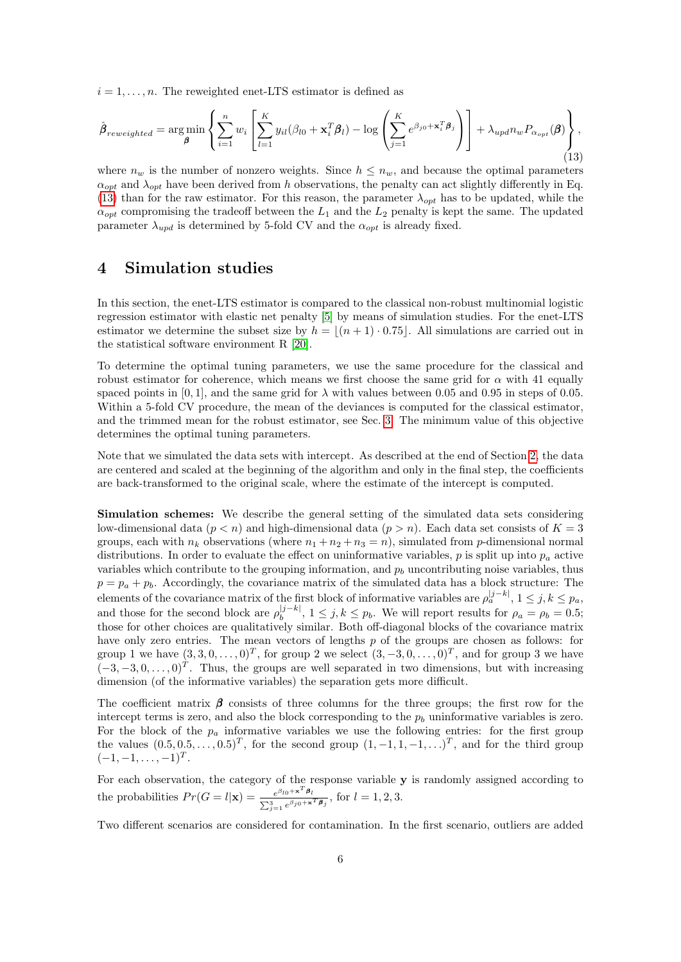$i = 1, \ldots, n$ . The reweighted enet-LTS estimator is defined as

<span id="page-5-1"></span>
$$
\hat{\boldsymbol{\beta}}_{reweighted} = \underset{\boldsymbol{\beta}}{\arg\min} \left\{ \sum_{i=1}^{n} w_i \left[ \sum_{l=1}^{K} y_{il} (\beta_{l0} + \mathbf{x}_i^T \boldsymbol{\beta}_l) - \log \left( \sum_{j=1}^{K} e^{\beta_{j0} + \mathbf{x}_i^T \boldsymbol{\beta}_j} \right) \right] + \lambda_{upd} n_w P_{\alpha_{opt}}(\boldsymbol{\beta}) \right\},\tag{13}
$$

where  $n_w$  is the number of nonzero weights. Since  $h \leq n_w$ , and because the optimal parameters  $\alpha_{opt}$  and  $\lambda_{opt}$  have been derived from h observations, the penalty can act slightly differently in Eq. [\(13\)](#page-5-1) than for the raw estimator. For this reason, the parameter  $\lambda_{opt}$  has to be updated, while the  $\alpha_{opt}$  compromising the tradeoff between the  $L_1$  and the  $L_2$  penalty is kept the same. The updated parameter  $\lambda_{u\bar{v}}$  is determined by 5-fold CV and the  $\alpha_{\bar{v}}$  is already fixed.

## <span id="page-5-0"></span>4 Simulation studies

In this section, the enet-LTS estimator is compared to the classical non-robust multinomial logistic regression estimator with elastic net penalty [\[5\]](#page-14-3) by means of simulation studies. For the enet-LTS estimator we determine the subset size by  $h = |(n + 1) \cdot 0.75|$ . All simulations are carried out in the statistical software environment R [\[20\]](#page-15-8).

To determine the optimal tuning parameters, we use the same procedure for the classical and robust estimator for coherence, which means we first choose the same grid for  $\alpha$  with 41 equally spaced points in [0, 1], and the same grid for  $\lambda$  with values between 0.05 and 0.95 in steps of 0.05. Within a 5-fold CV procedure, the mean of the deviances is computed for the classical estimator, and the trimmed mean for the robust estimator, see Sec. [3.](#page-4-0) The minimum value of this objective determines the optimal tuning parameters.

Note that we simulated the data sets with intercept. As described at the end of Section [2,](#page-1-0) the data are centered and scaled at the beginning of the algorithm and only in the final step, the coefficients are back-transformed to the original scale, where the estimate of the intercept is computed.

Simulation schemes: We describe the general setting of the simulated data sets considering low-dimensional data  $(p < n)$  and high-dimensional data  $(p > n)$ . Each data set consists of  $K = 3$ groups, each with  $n_k$  observations (where  $n_1 + n_2 + n_3 = n$ ), simulated from p-dimensional normal distributions. In order to evaluate the effect on uninformative variables,  $p$  is split up into  $p_a$  active variables which contribute to the grouping information, and  $p<sub>b</sub>$  uncontributing noise variables, thus  $p = p_a + p_b$ . Accordingly, the covariance matrix of the simulated data has a block structure: The elements of the covariance matrix of the first block of informative variables are  $\rho_a^{|j-k|}$ ,  $1 \le j, k \le p_a$ , and those for the second block are  $\rho_b^{|j-k|}$  $b_b^{\left|j-\kappa\right|}$ ,  $1 \leq j, k \leq p_b$ . We will report results for  $\rho_a = \rho_b = 0.5;$ those for other choices are qualitatively similar. Both off-diagonal blocks of the covariance matrix have only zero entries. The mean vectors of lengths  $p$  of the groups are chosen as follows: for group 1 we have  $(3,3,0,\ldots,0)^T$ , for group 2 we select  $(3,-3,0,\ldots,0)^T$ , and for group 3 we have  $(-3, -3, 0, \ldots, 0)^T$ . Thus, the groups are well separated in two dimensions, but with increasing dimension (of the informative variables) the separation gets more difficult.

The coefficient matrix  $\beta$  consists of three columns for the three groups; the first row for the intercept terms is zero, and also the block corresponding to the  $p<sub>b</sub>$  uninformative variables is zero. For the block of the  $p_a$  informative variables we use the following entries: for the first group the values  $(0.5, 0.5, \ldots, 0.5)^T$ , for the second group  $(1, -1, 1, -1, \ldots)^T$ , and for the third group  $(-1,-1,\ldots,-1)^T$ .

For each observation, the category of the response variable y is randomly assigned according to the probabilities  $Pr(G = l | \mathbf{x}) = \frac{e^{\beta_{l0} + \mathbf{x}^{T} \boldsymbol{\beta}_{l}}}{\sigma^{2} \mathbf{x}^{2} + \sigma^{2}}$  $\frac{e^{\rho t_0 + \kappa - \mu_l}}{\sum_{j=1}^3 e^{\beta_{j0} + \kappa^T \beta_j}},$  for  $l = 1, 2, 3$ .

Two different scenarios are considered for contamination. In the first scenario, outliers are added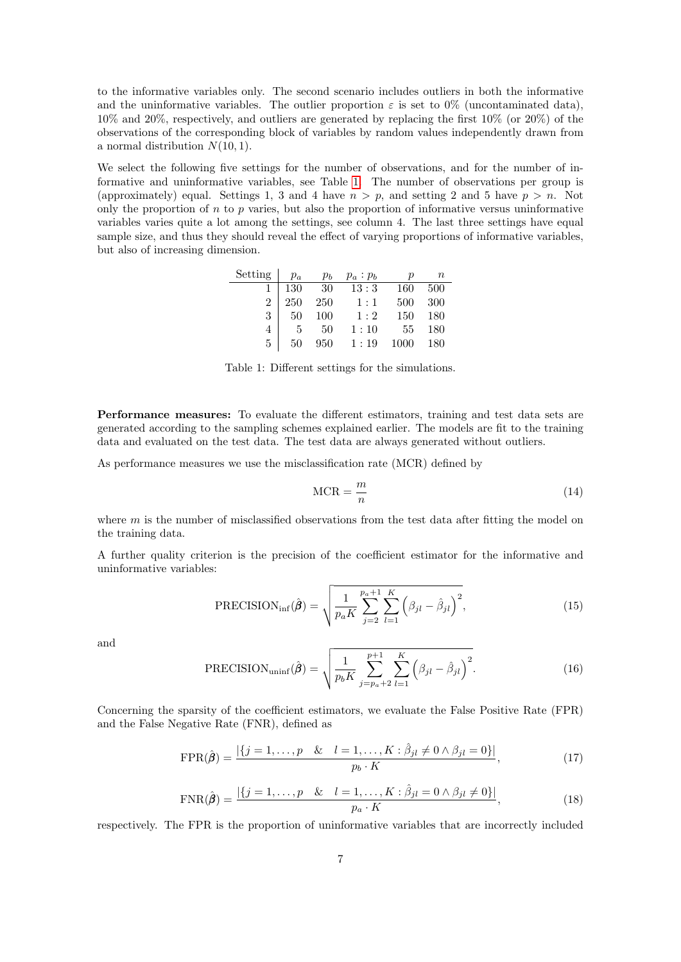to the informative variables only. The second scenario includes outliers in both the informative and the uninformative variables. The outlier proportion  $\varepsilon$  is set to 0% (uncontaminated data), 10% and 20%, respectively, and outliers are generated by replacing the first 10% (or 20%) of the observations of the corresponding block of variables by random values independently drawn from a normal distribution  $N(10, 1)$ .

We select the following five settings for the number of observations, and for the number of informative and uninformative variables, see Table [1.](#page-6-0) The number of observations per group is (approximately) equal. Settings 1, 3 and 4 have  $n > p$ , and setting 2 and 5 have  $p > n$ . Not only the proportion of  $n$  to  $p$  varies, but also the proportion of informative versus uninformative variables varies quite a lot among the settings, see column 4. The last three settings have equal sample size, and thus they should reveal the effect of varying proportions of informative variables, but also of increasing dimension.

| Setting        | $p_a$          | $p_b$ | $p_a : p_b$ | D    | $\, n$ |
|----------------|----------------|-------|-------------|------|--------|
|                | 130            | -30   | 13:3        | 160  | 500    |
| $\overline{2}$ | 250            | 250   | 1:1         | 500  | 300    |
| $3^-$          | 50             | 100   | 1:2         | 150  | 180    |
|                | $\overline{5}$ | 50    | 1:10        | 55   | 180    |
| 5              | 50             | 950   | 1:19        | 1000 | 180    |

<span id="page-6-0"></span>Table 1: Different settings for the simulations.

Performance measures: To evaluate the different estimators, training and test data sets are generated according to the sampling schemes explained earlier. The models are fit to the training data and evaluated on the test data. The test data are always generated without outliers.

As performance measures we use the misclassification rate (MCR) defined by

$$
MCR = \frac{m}{n} \tag{14}
$$

where  $m$  is the number of misclassified observations from the test data after fitting the model on the training data.

A further quality criterion is the precision of the coefficient estimator for the informative and uninformative variables:

$$
\text{PRECISION}_{\text{inf}}(\hat{\boldsymbol{\beta}}) = \sqrt{\frac{1}{p_a K} \sum_{j=2}^{p_a + 1} \sum_{l=1}^{K} \left(\beta_{jl} - \hat{\beta}_{jl}\right)^2},\tag{15}
$$

and

$$
PRECISION_{\text{uninf}}(\hat{\boldsymbol{\beta}}) = \sqrt{\frac{1}{p_b K} \sum_{j=p_a+2}^{p+1} \sum_{l=1}^{K} (\beta_{jl} - \hat{\beta}_{jl})^2}.
$$
 (16)

Concerning the sparsity of the coefficient estimators, we evaluate the False Positive Rate (FPR) and the False Negative Rate (FNR), defined as

$$
FPR(\hat{\boldsymbol{\beta}}) = \frac{|\{j = 1, ..., p \ \& l = 1, ..., K : \hat{\beta}_{jl} \neq 0 \land \beta_{jl} = 0\}|}{p_b \cdot K},
$$
(17)

$$
\text{FNR}(\hat{\boldsymbol{\beta}}) = \frac{|\{j = 1, ..., p \& l = 1, ..., K : \hat{\beta}_{jl} = 0 \land \beta_{jl} \neq 0\}|}{p_a \cdot K},
$$
\n(18)

respectively. The FPR is the proportion of uninformative variables that are incorrectly included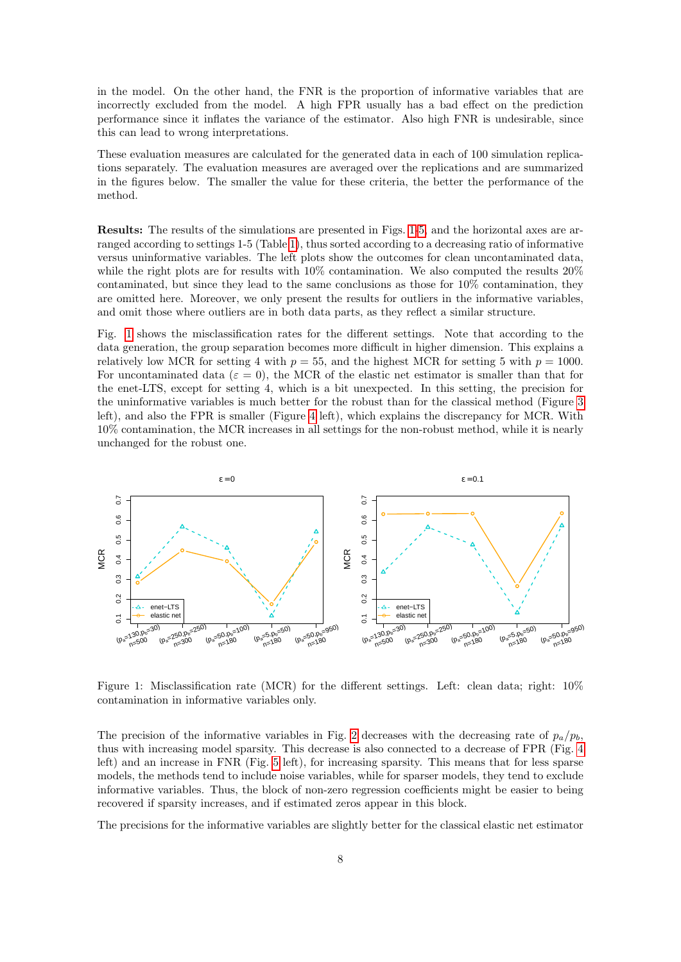in the model. On the other hand, the FNR is the proportion of informative variables that are incorrectly excluded from the model. A high FPR usually has a bad effect on the prediction performance since it inflates the variance of the estimator. Also high FNR is undesirable, since this can lead to wrong interpretations.

These evaluation measures are calculated for the generated data in each of 100 simulation replications separately. The evaluation measures are averaged over the replications and are summarized in the figures below. The smaller the value for these criteria, the better the performance of the method.

Results: The results of the simulations are presented in Figs. [1-](#page-7-0)[5,](#page-9-0) and the horizontal axes are arranged according to settings 1-5 (Table [1\)](#page-6-0), thus sorted according to a decreasing ratio of informative versus uninformative variables. The left plots show the outcomes for clean uncontaminated data, while the right plots are for results with 10% contamination. We also computed the results 20% contaminated, but since they lead to the same conclusions as those for 10% contamination, they are omitted here. Moreover, we only present the results for outliers in the informative variables, and omit those where outliers are in both data parts, as they reflect a similar structure.

Fig. [1](#page-7-0) shows the misclassification rates for the different settings. Note that according to the data generation, the group separation becomes more difficult in higher dimension. This explains a relatively low MCR for setting 4 with  $p = 55$ , and the highest MCR for setting 5 with  $p = 1000$ . For uncontaminated data ( $\varepsilon = 0$ ), the MCR of the elastic net estimator is smaller than that for the enet-LTS, except for setting 4, which is a bit unexpected. In this setting, the precision for the uninformative variables is much better for the robust than for the classical method (Figure [3](#page-8-0) left), and also the FPR is smaller (Figure [4](#page-9-1) left), which explains the discrepancy for MCR. With 10% contamination, the MCR increases in all settings for the non-robust method, while it is nearly unchanged for the robust one.



<span id="page-7-0"></span>Figure 1: Misclassification rate (MCR) for the different settings. Left: clean data; right: 10% contamination in informative variables only.

The precision of the informative variables in Fig. [2](#page-8-1) decreases with the decreasing rate of  $p_a/p_b$ , thus with increasing model sparsity. This decrease is also connected to a decrease of FPR (Fig. [4](#page-9-1) left) and an increase in FNR (Fig. [5](#page-9-0) left), for increasing sparsity. This means that for less sparse models, the methods tend to include noise variables, while for sparser models, they tend to exclude informative variables. Thus, the block of non-zero regression coefficients might be easier to being recovered if sparsity increases, and if estimated zeros appear in this block.

The precisions for the informative variables are slightly better for the classical elastic net estimator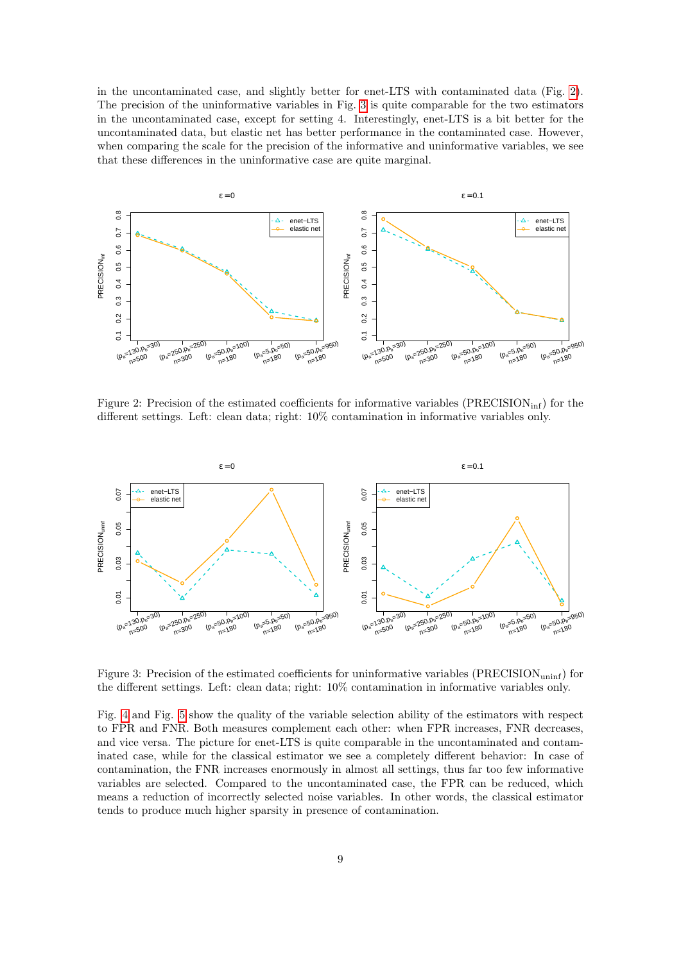in the uncontaminated case, and slightly better for enet-LTS with contaminated data (Fig. [2\)](#page-8-1). The precision of the uninformative variables in Fig. [3](#page-8-0) is quite comparable for the two estimators in the uncontaminated case, except for setting 4. Interestingly, enet-LTS is a bit better for the uncontaminated data, but elastic net has better performance in the contaminated case. However, when comparing the scale for the precision of the informative and uninformative variables, we see that these differences in the uninformative case are quite marginal.



<span id="page-8-1"></span>Figure 2: Precision of the estimated coefficients for informative variables  $(PRECISION<sub>inf</sub>)$  for the different settings. Left: clean data; right: 10% contamination in informative variables only.



<span id="page-8-0"></span>Figure 3: Precision of the estimated coefficients for uninformative variables (PRECISION<sub>uninf</sub>) for the different settings. Left: clean data; right: 10% contamination in informative variables only.

Fig. [4](#page-9-1) and Fig. [5](#page-9-0) show the quality of the variable selection ability of the estimators with respect to FPR and FNR. Both measures complement each other: when FPR increases, FNR decreases, and vice versa. The picture for enet-LTS is quite comparable in the uncontaminated and contaminated case, while for the classical estimator we see a completely different behavior: In case of contamination, the FNR increases enormously in almost all settings, thus far too few informative variables are selected. Compared to the uncontaminated case, the FPR can be reduced, which means a reduction of incorrectly selected noise variables. In other words, the classical estimator tends to produce much higher sparsity in presence of contamination.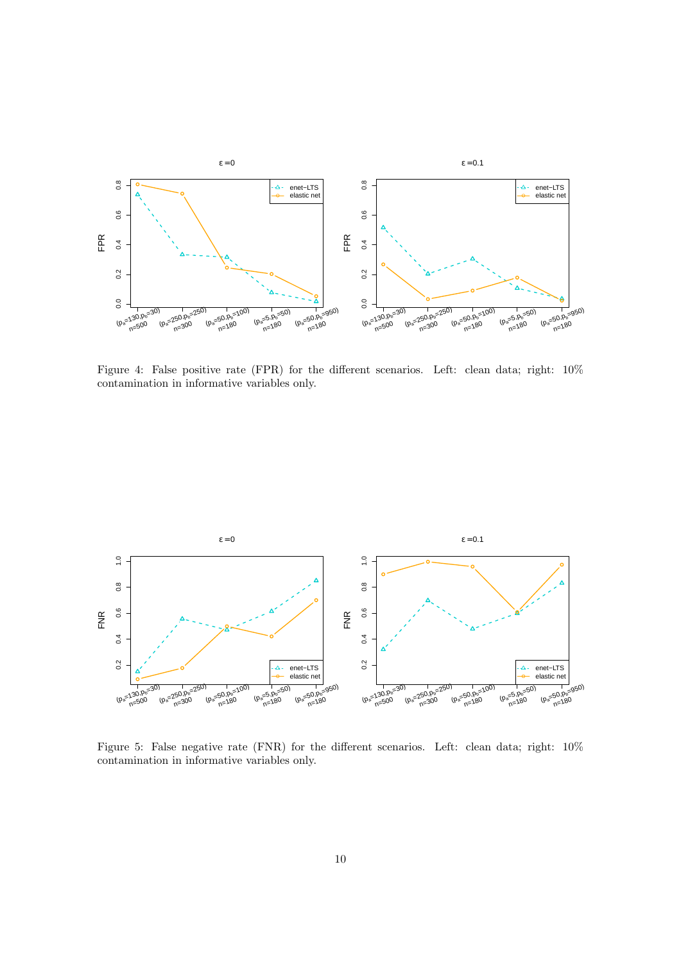

<span id="page-9-1"></span>Figure 4: False positive rate (FPR) for the different scenarios. Left: clean data; right:  $10\%$ contamination in informative variables only.



<span id="page-9-0"></span>Figure 5: False negative rate (FNR) for the different scenarios. Left: clean data; right:  $10\%$ contamination in informative variables only.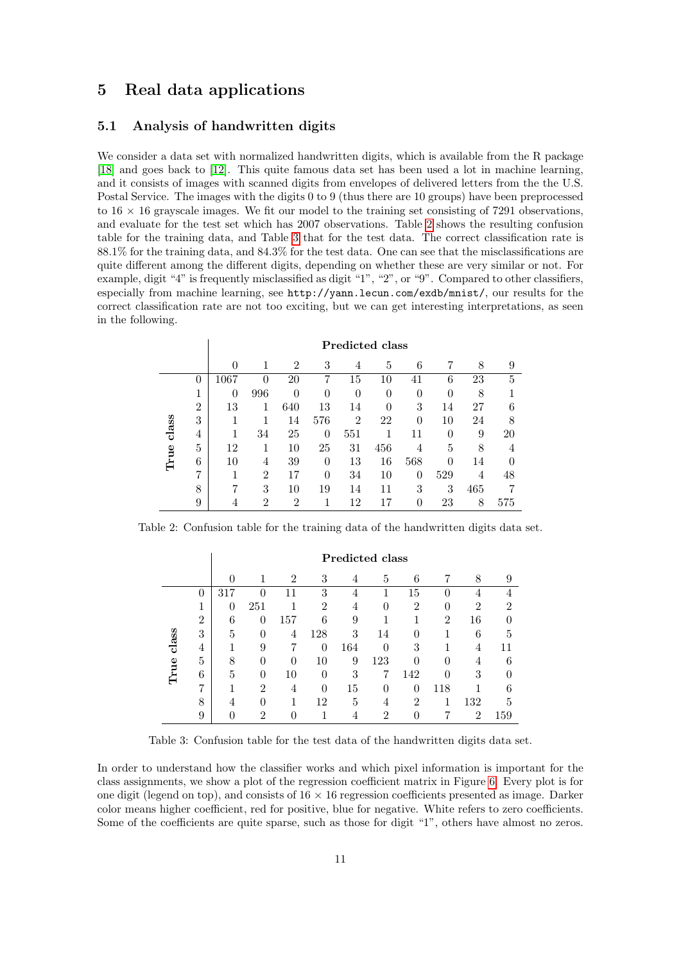### <span id="page-10-0"></span>5 Real data applications

#### 5.1 Analysis of handwritten digits

We consider a data set with normalized handwritten digits, which is available from the R package [\[18\]](#page-15-9) and goes back to [\[12\]](#page-15-10). This quite famous data set has been used a lot in machine learning, and it consists of images with scanned digits from envelopes of delivered letters from the the U.S. Postal Service. The images with the digits 0 to 9 (thus there are 10 groups) have been preprocessed to  $16 \times 16$  grayscale images. We fit our model to the training set consisting of 7291 observations, and evaluate for the test set which has 2007 observations. Table [2](#page-10-1) shows the resulting confusion table for the training data, and Table [3](#page-10-2) that for the test data. The correct classification rate is 88.1% for the training data, and 84.3% for the test data. One can see that the misclassifications are quite different among the different digits, depending on whether these are very similar or not. For example, digit "4" is frequently misclassified as digit "1", "2", or "9". Compared to other classifiers, especially from machine learning, see http://yann.lecun.com/exdb/mnist/, our results for the correct classification rate are not too exciting, but we can get interesting interpretations, as seen in the following.

|               |                | Predicted class |                |                |                  |                |          |     |          |     |     |
|---------------|----------------|-----------------|----------------|----------------|------------------|----------------|----------|-----|----------|-----|-----|
|               |                | 0               |                | $\overline{2}$ | 3                | 4              | 5        | 6   |          | 8   | 9   |
| class<br>True | $\theta$       | 1067            | 0              | 20             | 7                | 15             | 10       | 41  | 6        | 23  | 5   |
|               | 1              | 0               | 996            | 0              | $\left( \right)$ | 0              | 0        | 0   | 0        | 8   |     |
|               | $\overline{2}$ | 13              | 1              | 640            | 13               | 14             | $\Omega$ | 3   | 14       | 27  | 6   |
|               | 3              |                 |                | 14             | 576              | $\overline{2}$ | 22       | 0   | 10       | 24  | 8   |
|               | 4              |                 | 34             | 25             | $\theta$         | 551            |          | 11  | $\Omega$ | 9   | 20  |
|               | 5              | 12              |                | 10             | 25               | 31             | 456      | 4   | 5        | 8   | 4   |
|               | 6              | 10              | 4              | 39             | $\left( \right)$ | 13             | 16       | 568 | 0        | 14  |     |
|               | 7              |                 | $\overline{2}$ | 17             | 0                | 34             | 10       | 0   | 529      | 4   | 48  |
|               | 8              | ד               | 3              | 10             | 19               | 14             |          | 3   | 3        | 465 | 7   |
|               | 9              |                 | $\overline{2}$ | $\overline{2}$ |                  | 12             |          | 0   | 23       | 8   | 575 |

Table 2: Confusion table for the training data of the handwritten digits data set.

<span id="page-10-1"></span>

|               |                | <b>Predicted class</b> |                |                |                |     |          |                |                |                |     |
|---------------|----------------|------------------------|----------------|----------------|----------------|-----|----------|----------------|----------------|----------------|-----|
|               |                | 0                      |                | $\overline{2}$ | 3              | 4   | 5        | 6              |                | 8              | 9   |
| class<br>True | 0              | 317                    | $\theta$       | 11             | 3              | 4   |          | 15             | 0              |                |     |
|               | 1              | 0                      | 251            |                | $\overline{2}$ | 4   | 0        | $\overline{2}$ | 0              | 2              | 2   |
|               | $\overline{2}$ | 6                      | 0              | 157            | 6              | 9   |          |                | $\overline{2}$ | 16             |     |
|               | 3              | 5                      | $\theta$       | 4              | 128            | 3   | 14       | $\Omega$       | 1              | 6              | 5   |
|               | 4              |                        | 9              | 7              | $\theta$       | 164 | 0        | 3              |                | 4              | 11  |
|               | 5              | 8                      | $\theta$       | $\theta$       | 10             | 9   | 123      | 0              | 0              | 4              | 6   |
|               | 6              | 5                      | $\theta$       | 10             | 0              | 3   |          | 142            | 0              | 3              |     |
|               | 7              |                        | $\overline{2}$ | 4              | $\theta$       | 15  | $\Omega$ | 0              | 118            |                | 6   |
|               | 8              | 4                      | $\theta$       | 1              | 12             | 5   | 4        | $\overline{2}$ |                | 132            | 5   |
|               | 9              |                        | $\overline{2}$ | 0              |                | 4   | 2        | 0              | 7              | $\overline{2}$ | 159 |

<span id="page-10-2"></span>Table 3: Confusion table for the test data of the handwritten digits data set.

In order to understand how the classifier works and which pixel information is important for the class assignments, we show a plot of the regression coefficient matrix in Figure [6.](#page-11-0) Every plot is for one digit (legend on top), and consists of  $16 \times 16$  regression coefficients presented as image. Darker color means higher coefficient, red for positive, blue for negative. White refers to zero coefficients. Some of the coefficients are quite sparse, such as those for digit "1", others have almost no zeros.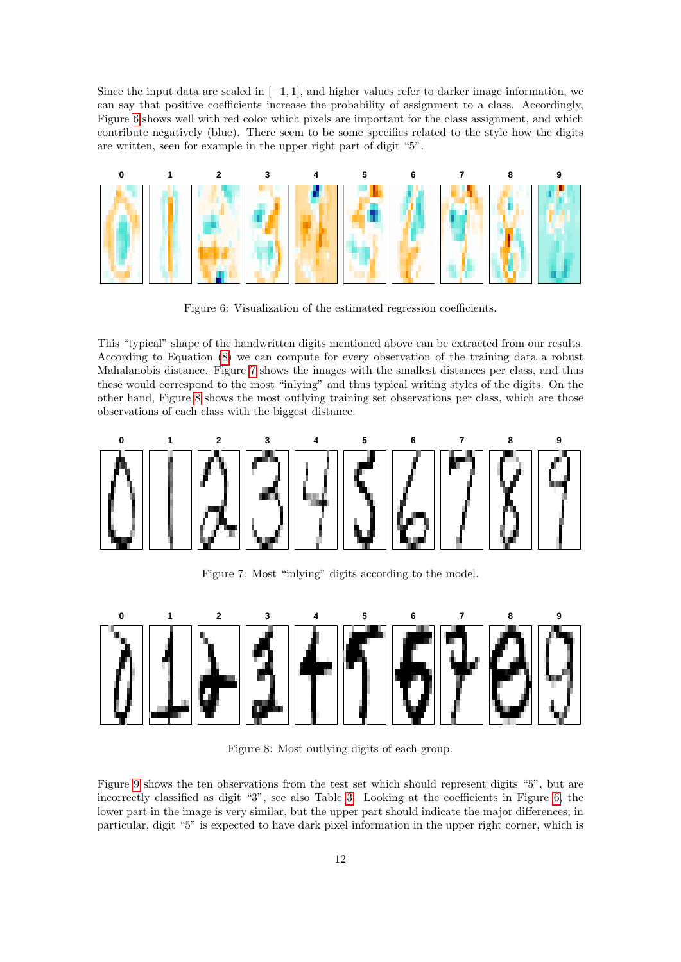Since the input data are scaled in  $[-1, 1]$ , and higher values refer to darker image information, we can say that positive coefficients increase the probability of assignment to a class. Accordingly, Figure [6](#page-11-0) shows well with red color which pixels are important for the class assignment, and which contribute negatively (blue). There seem to be some specifics related to the style how the digits are written, seen for example in the upper right part of digit "5".



<span id="page-11-0"></span>Figure 6: Visualization of the estimated regression coefficients.

This "typical" shape of the handwritten digits mentioned above can be extracted from our results. According to Equation [\(8\)](#page-3-0) we can compute for every observation of the training data a robust Mahalanobis distance. Figure [7](#page-11-1) shows the images with the smallest distances per class, and thus these would correspond to the most "inlying" and thus typical writing styles of the digits. On the other hand, Figure [8](#page-11-2) shows the most outlying training set observations per class, which are those observations of each class with the biggest distance.



<span id="page-11-1"></span>Figure 7: Most "inlying" digits according to the model.



<span id="page-11-2"></span>Figure 8: Most outlying digits of each group.

Figure [9](#page-12-0) shows the ten observations from the test set which should represent digits "5", but are incorrectly classified as digit "3", see also Table [3.](#page-10-2) Looking at the coefficients in Figure [6,](#page-11-0) the lower part in the image is very similar, but the upper part should indicate the major differences; in particular, digit "5" is expected to have dark pixel information in the upper right corner, which is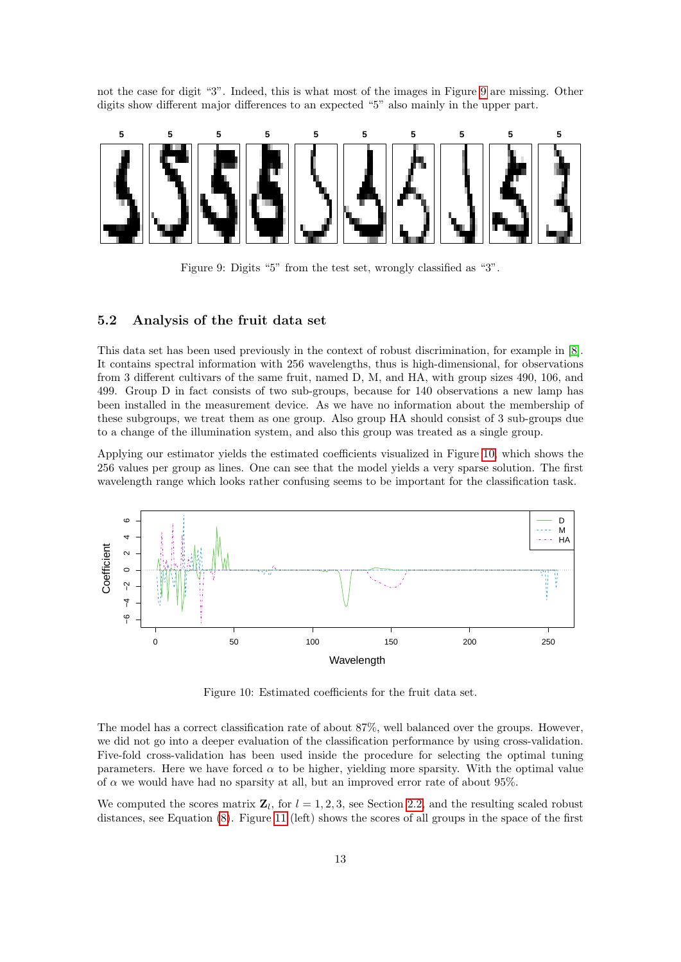not the case for digit "3". Indeed, this is what most of the images in Figure [9](#page-12-0) are missing. Other digits show different major differences to an expected "5" also mainly in the upper part.



<span id="page-12-0"></span>Figure 9: Digits "5" from the test set, wrongly classified as "3".

#### 5.2 Analysis of the fruit data set

This data set has been used previously in the context of robust discrimination, for example in [\[8\]](#page-14-7). It contains spectral information with 256 wavelengths, thus is high-dimensional, for observations from 3 different cultivars of the same fruit, named D, M, and HA, with group sizes 490, 106, and 499. Group D in fact consists of two sub-groups, because for 140 observations a new lamp has been installed in the measurement device. As we have no information about the membership of these subgroups, we treat them as one group. Also group HA should consist of 3 sub-groups due to a change of the illumination system, and also this group was treated as a single group.

Applying our estimator yields the estimated coefficients visualized in Figure [10,](#page-12-1) which shows the 256 values per group as lines. One can see that the model yields a very sparse solution. The first wavelength range which looks rather confusing seems to be important for the classification task.



<span id="page-12-1"></span>Figure 10: Estimated coefficients for the fruit data set.

The model has a correct classification rate of about 87%, well balanced over the groups. However, we did not go into a deeper evaluation of the classification performance by using cross-validation. Five-fold cross-validation has been used inside the procedure for selecting the optimal tuning parameters. Here we have forced  $\alpha$  to be higher, yielding more sparsity. With the optimal value of  $\alpha$  we would have had no sparsity at all, but an improved error rate of about 95%.

We computed the scores matrix  $\mathbf{Z}_l$ , for  $l = 1, 2, 3$ , see Section [2.2,](#page-2-2) and the resulting scaled robust distances, see Equation [\(8\)](#page-3-0). Figure [11](#page-13-1) (left) shows the scores of all groups in the space of the first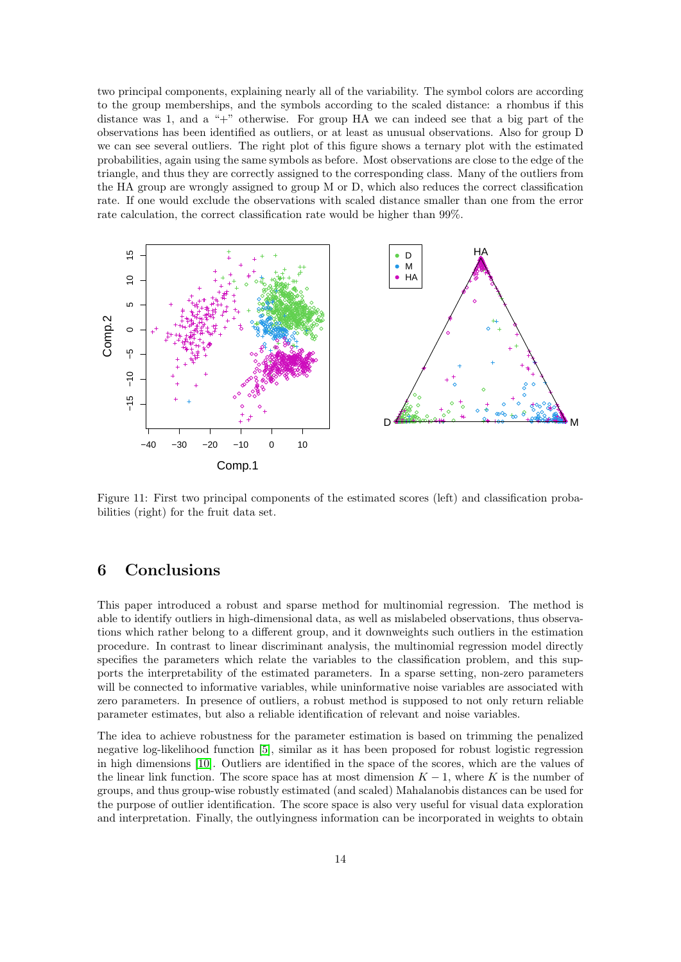two principal components, explaining nearly all of the variability. The symbol colors are according to the group memberships, and the symbols according to the scaled distance: a rhombus if this distance was 1, and a "+" otherwise. For group HA we can indeed see that a big part of the observations has been identified as outliers, or at least as unusual observations. Also for group D we can see several outliers. The right plot of this figure shows a ternary plot with the estimated probabilities, again using the same symbols as before. Most observations are close to the edge of the triangle, and thus they are correctly assigned to the corresponding class. Many of the outliers from the HA group are wrongly assigned to group M or D, which also reduces the correct classification rate. If one would exclude the observations with scaled distance smaller than one from the error rate calculation, the correct classification rate would be higher than 99%.



<span id="page-13-1"></span>Figure 11: First two principal components of the estimated scores (left) and classification probabilities (right) for the fruit data set.

# <span id="page-13-0"></span>6 Conclusions

This paper introduced a robust and sparse method for multinomial regression. The method is able to identify outliers in high-dimensional data, as well as mislabeled observations, thus observations which rather belong to a different group, and it downweights such outliers in the estimation procedure. In contrast to linear discriminant analysis, the multinomial regression model directly specifies the parameters which relate the variables to the classification problem, and this supports the interpretability of the estimated parameters. In a sparse setting, non-zero parameters will be connected to informative variables, while uninformative noise variables are associated with zero parameters. In presence of outliers, a robust method is supposed to not only return reliable parameter estimates, but also a reliable identification of relevant and noise variables.

The idea to achieve robustness for the parameter estimation is based on trimming the penalized negative log-likelihood function [\[5\]](#page-14-3), similar as it has been proposed for robust logistic regression in high dimensions [\[10\]](#page-15-0). Outliers are identified in the space of the scores, which are the values of the linear link function. The score space has at most dimension  $K - 1$ , where K is the number of groups, and thus group-wise robustly estimated (and scaled) Mahalanobis distances can be used for the purpose of outlier identification. The score space is also very useful for visual data exploration and interpretation. Finally, the outlyingness information can be incorporated in weights to obtain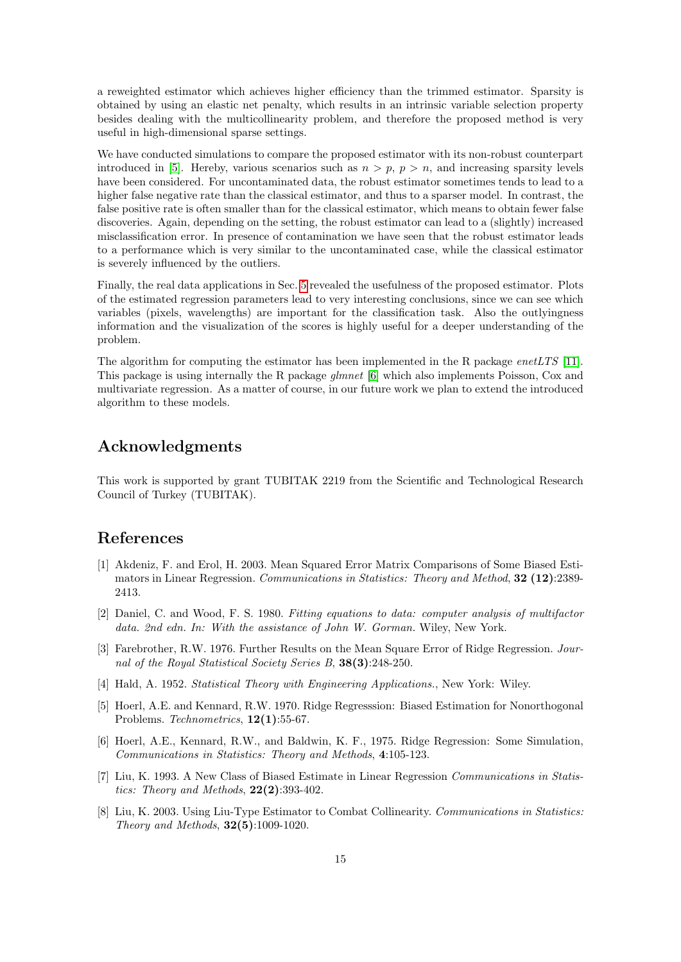a reweighted estimator which achieves higher efficiency than the trimmed estimator. Sparsity is obtained by using an elastic net penalty, which results in an intrinsic variable selection property besides dealing with the multicollinearity problem, and therefore the proposed method is very useful in high-dimensional sparse settings.

We have conducted simulations to compare the proposed estimator with its non-robust counterpart introduced in [\[5\]](#page-14-3). Hereby, various scenarios such as  $n > p$ ,  $p > n$ , and increasing sparsity levels have been considered. For uncontaminated data, the robust estimator sometimes tends to lead to a higher false negative rate than the classical estimator, and thus to a sparser model. In contrast, the false positive rate is often smaller than for the classical estimator, which means to obtain fewer false discoveries. Again, depending on the setting, the robust estimator can lead to a (slightly) increased misclassification error. In presence of contamination we have seen that the robust estimator leads to a performance which is very similar to the uncontaminated case, while the classical estimator is severely influenced by the outliers.

Finally, the real data applications in Sec. [5](#page-10-0) revealed the usefulness of the proposed estimator. Plots of the estimated regression parameters lead to very interesting conclusions, since we can see which variables (pixels, wavelengths) are important for the classification task. Also the outlyingness information and the visualization of the scores is highly useful for a deeper understanding of the problem.

The algorithm for computing the estimator has been implemented in the R package enetLTS [\[11\]](#page-15-11). This package is using internally the R package *glmnet* [\[6\]](#page-14-4) which also implements Poisson, Cox and multivariate regression. As a matter of course, in our future work we plan to extend the introduced algorithm to these models.

## Acknowledgments

This work is supported by grant TUBITAK 2219 from the Scientific and Technological Research Council of Turkey (TUBITAK).

### References

- <span id="page-14-6"></span>[1] Akdeniz, F. and Erol, H. 2003. Mean Squared Error Matrix Comparisons of Some Biased Estimators in Linear Regression. Communications in Statistics: Theory and Method, 32 (12):2389-2413.
- <span id="page-14-5"></span>[2] Daniel, C. and Wood, F. S. 1980. Fitting equations to data: computer analysis of multifactor data. 2nd edn. In: With the assistance of John W. Gorman. Wiley, New York.
- <span id="page-14-2"></span>[3] Farebrother, R.W. 1976. Further Results on the Mean Square Error of Ridge Regression. Journal of the Royal Statistical Society Series B, 38(3):248-250.
- <span id="page-14-1"></span>[4] Hald, A. 1952. Statistical Theory with Engineering Applications., New York: Wiley.
- <span id="page-14-3"></span>[5] Hoerl, A.E. and Kennard, R.W. 1970. Ridge Regresssion: Biased Estimation for Nonorthogonal Problems. Technometrics, 12(1):55-67.
- <span id="page-14-4"></span>[6] Hoerl, A.E., Kennard, R.W., and Baldwin, K. F., 1975. Ridge Regression: Some Simulation, Communications in Statistics: Theory and Methods, 4:105-123.
- <span id="page-14-0"></span>[7] Liu, K. 1993. A New Class of Biased Estimate in Linear Regression Communications in Statistics: Theory and Methods,  $22(2)$ :393-402.
- <span id="page-14-7"></span>[8] Liu, K. 2003. Using Liu-Type Estimator to Combat Collinearity. Communications in Statistics: Theory and Methods, 32(5):1009-1020.